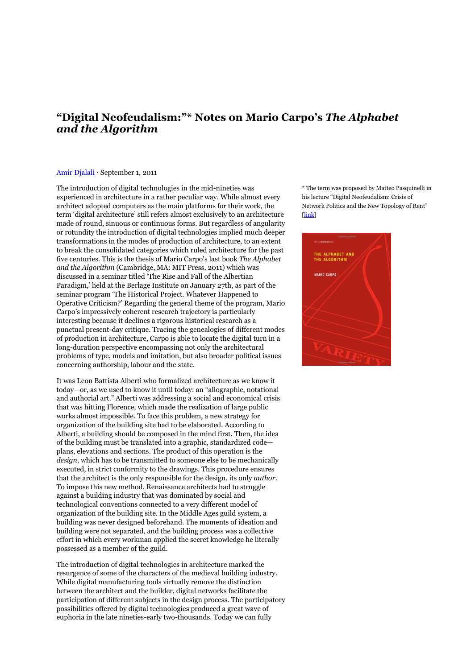## **"Digital Neofeudalism:"\* Notes on Mario Carpo's** *The Alphabet and the Algorithm*

## Amir [Djalali](http://thecityasaproject.org/amir-djalali) ⋅ September 1, 2011

The introduction of digital technologies in the mid-nineties was experienced in architecture in a rather peculiar way. While almost every architect adopted computers as the main platforms for their work, the term 'digital architecture' still refers almost exclusively to an architecture made of round, sinuous or continuous forms. But regardless of angularity or rotundity the introduction of digital technologies implied much deeper transformations in the modes of production of architecture, to an extent to break the consolidated categories which ruled architecture for the past five centuries. This is the thesis of Mario Carpo's last book *The Alphabet and the Algorithm* (Cambridge, MA: MIT Press, 2011) which was discussed in a seminar titled 'The Rise and Fall of the Albertian Paradigm,' held at the Berlage Institute on January 27th, as part of the seminar program 'The Historical Project. Whatever Happened to Operative Criticism?' Regarding the general theme of the program, Mario Carpo's impressively coherent research trajectory is particularly interesting because it declines a rigorous historical research as a punctual present-day critique. Tracing the genealogies of different modes of production in architecture, Carpo is able to locate the digital turn in a long-duration perspective encompassing not only the architectural problems of type, models and imitation, but also broader political issues concerning authorship, labour and the state.

It was Leon Battista Alberti who formalized architecture as we know it today—or, as we used to know it until today: an "allographic, notational and authorial art." Alberti was addressing a social and economical crisis that was hitting Florence, which made the realization of large public works almost impossible. To face this problem, a new strategy for organization of the building site had to be elaborated. According to Alberti, a building should be composed in the mind first. Then, the idea of the building must be translated into a graphic, standardized code plans, elevations and sections. The product of this operation is the *design*, which has to be transmitted to someone else to be mechanically executed, in strict conformity to the drawings. This procedure ensures that the architect is the only responsible for the design, its only *author*. To impose this new method, Renaissance architects had to struggle against a building industry that was dominated by social and technological conventions connected to a very different model of organization of the building site. In the Middle Ages guild system, a building was never designed beforehand. The moments of ideation and building were not separated, and the building process was a collective effort in which every workman applied the secret knowledge he literally possessed as a member of the guild.

The introduction of digital technologies in architecture marked the resurgence of some of the characters of the medieval building industry. While digital manufacturing tools virtually remove the distinction between the architect and the builder, digital networks facilitate the participation of different subjects in the design process. The participatory possibilities offered by digital technologies produced a great wave of euphoria in the late nineties-early two-thousands. Today we can fully

\* The term was proposed by Matteo Pasquinelli in his lecture "Digital Neofeudalism: Crisis of Network Politics and the New Topology of Rent" [\[link\]](http://matteopasquinelli.com/digital-neofeudalism-transmediale)

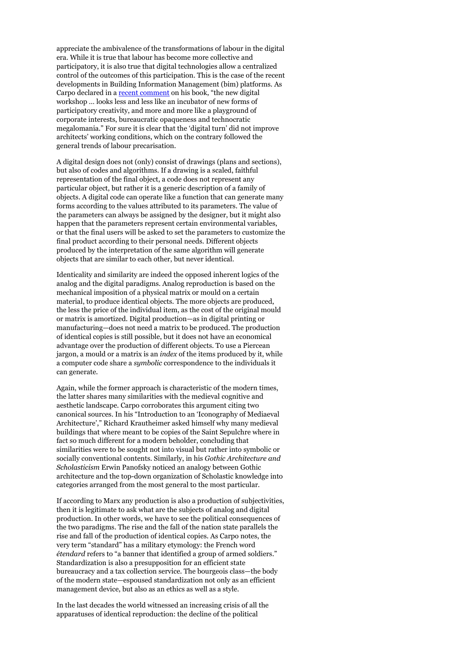appreciate the ambivalence of the transformations of labour in the digital era. While it is true that labour has become more collective and participatory, it is also true that digital technologies allow a centralized control of the outcomes of this participation. This is the case of the recent developments in Building Information Management (bim) platforms. As Carpo declared in a recent [comment](http://www.graymatters.gatech.edu/2011/03/03/the-alphabet-and-the-algorithm-by-professor-mario-carpo/) on his book, "the new digital workshop … looks less and less like an incubator of new forms of participatory creativity, and more and more like a playground of corporate interests, bureaucratic opaqueness and technocratic megalomania." For sure it is clear that the 'digital turn' did not improve architects' working conditions, which on the contrary followed the general trends of labour precarisation.

A digital design does not (only) consist of drawings (plans and sections), but also of codes and algorithms. If a drawing is a scaled, faithful representation of the final object, a code does not represent any particular object, but rather it is a generic description of a family of objects. A digital code can operate like a function that can generate many forms according to the values attributed to its parameters. The value of the parameters can always be assigned by the designer, but it might also happen that the parameters represent certain environmental variables, or that the final users will be asked to set the parameters to customize the final product according to their personal needs. Different objects produced by the interpretation of the same algorithm will generate objects that are similar to each other, but never identical.

Identicality and similarity are indeed the opposed inherent logics of the analog and the digital paradigms. Analog reproduction is based on the mechanical imposition of a physical matrix or mould on a certain material, to produce identical objects. The more objects are produced, the less the price of the individual item, as the cost of the original mould or matrix is amortized. Digital production—as in digital printing or manufacturing—does not need a matrix to be produced. The production of identical copies is still possible, but it does not have an economical advantage over the production of different objects. To use a Piercean jargon, a mould or a matrix is an *index* of the items produced by it, while a computer code share a *symbolic* correspondence to the individuals it can generate.

Again, while the former approach is characteristic of the modern times, the latter shares many similarities with the medieval cognitive and aesthetic landscape. Carpo corroborates this argument citing two canonical sources. In his "Introduction to an 'Iconography of Mediaeval Architecture'," Richard Krautheimer asked himself why many medieval buildings that where meant to be copies of the Saint Sepulchre where in fact so much different for a modern beholder, concluding that similarities were to be sought not into visual but rather into symbolic or socially conventional contents. Similarly, in his *Gothic Architecture and Scholasticism* Erwin Panofsky noticed an analogy between Gothic architecture and the top-down organization of Scholastic knowledge into categories arranged from the most general to the most particular.

If according to Marx any production is also a production of subjectivities, then it is legitimate to ask what are the subjects of analog and digital production. In other words, we have to see the political consequences of the two paradigms. The rise and the fall of the nation state parallels the rise and fall of the production of identical copies. As Carpo notes, the very term "standard" has a military etymology: the French word *étendard* refers to "a banner that identified a group of armed soldiers." Standardization is also a presupposition for an efficient state bureaucracy and a tax collection service. The bourgeois class—the body of the modern state—espoused standardization not only as an efficient management device, but also as an ethics as well as a style.

In the last decades the world witnessed an increasing crisis of all the apparatuses of identical reproduction: the decline of the political